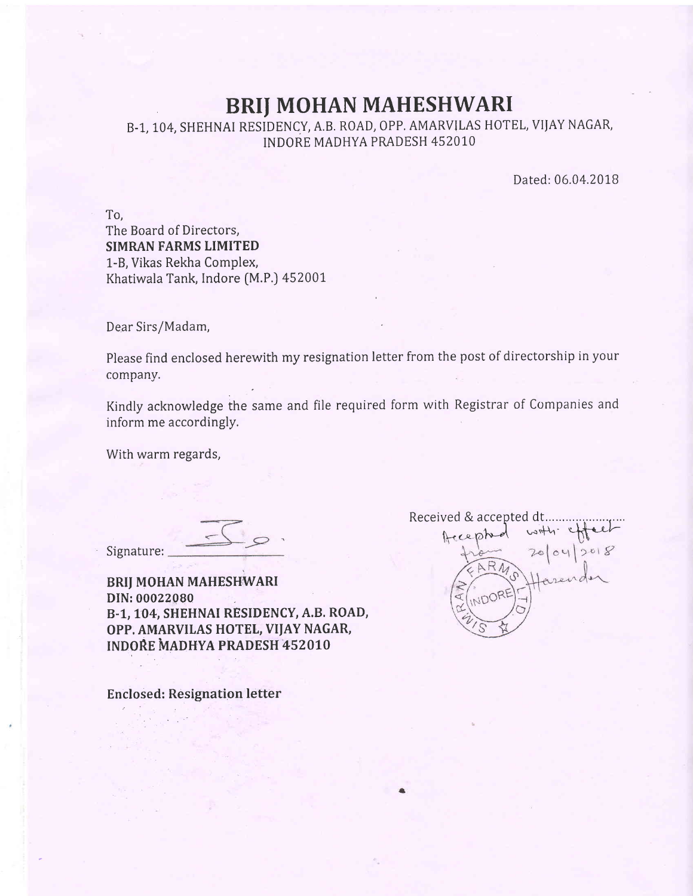## BRIJ MOHAN MAHESHWARI

B-1, 104, SHEHNAI RESIDENCY, A.B. ROAD, OPP. AMARVILAS HOTEL, VIJAY NAGAR, INDORE MADHYA PRADESH 452010

Dated: 06.04.2018

To, The Board of Directors, SIMRAN FARMS LIMITED L-8, Vikas Rekha Complex, Khatiwala Tank, Indore [M.P.] 452001

Dear Sirs/Madam,

Please find enclosed herewith my resignation letter from the post of directorship in your company.

Kindly acknowledge the same and file required form with Registrar of Companies andinform me accordingly.

With warm regards,

Signature:

BRII MOHAN MAHESHWARI DIN: 00022080 B-1, LO4, SHEHNAI RESIDENCY, A.B. ROAD, OPP. AMARVILAS HOTEL, VIJAY NAGAR, INDORE MADHYA PRADESH 452010

Enclosed: Resignation letter

Received & accepted dt........ ,t .o -1^J-J'-;i+\' q\*'-t-